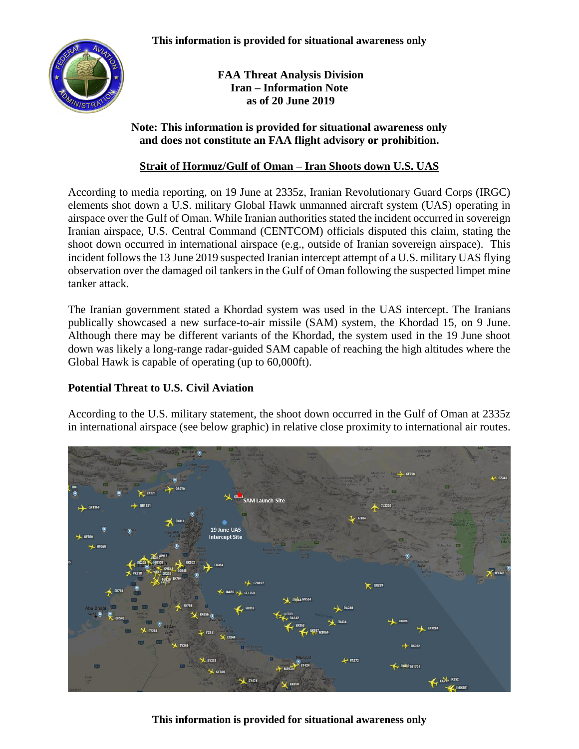

**FAA Threat Analysis Division Iran – Information Note as of 20 June 2019**

## **Note: This information is provided for situational awareness only and does not constitute an FAA flight advisory or prohibition.**

## **Strait of Hormuz/Gulf of Oman – Iran Shoots down U.S. UAS**

According to media reporting, on 19 June at 2335z, Iranian Revolutionary Guard Corps (IRGC) elements shot down a U.S. military Global Hawk unmanned aircraft system (UAS) operating in airspace over the Gulf of Oman. While Iranian authorities stated the incident occurred in sovereign Iranian airspace, U.S. Central Command (CENTCOM) officials disputed this claim, stating the shoot down occurred in international airspace (e.g., outside of Iranian sovereign airspace). This incident follows the 13 June 2019 suspected Iranian intercept attempt of a U.S. military UAS flying observation over the damaged oil tankers in the Gulf of Oman following the suspected limpet mine tanker attack.

The Iranian government stated a Khordad system was used in the UAS intercept. The Iranians publically showcased a new surface-to-air missile (SAM) system, the Khordad 15, on 9 June. Although there may be different variants of the Khordad, the system used in the 19 June shoot down was likely a long-range radar-guided SAM capable of reaching the high altitudes where the Global Hawk is capable of operating (up to 60,000ft).

## **Potential Threat to U.S. Civil Aviation**

According to the U.S. military statement, the shoot down occurred in the Gulf of Oman at 2335z in international airspace (see below graphic) in relative close proximity to international air routes.



**This information is provided for situational awareness only**